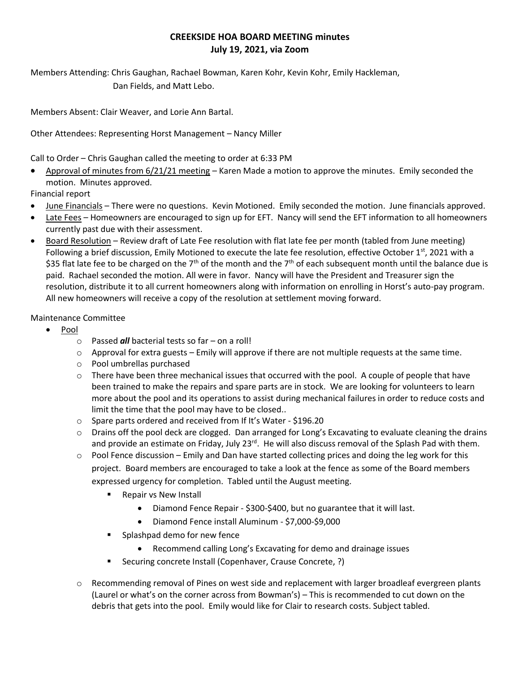## **CREEKSIDE HOA BOARD MEETING minutes July 19, 2021, via Zoom**

Members Attending: Chris Gaughan, Rachael Bowman, Karen Kohr, Kevin Kohr, Emily Hackleman, Dan Fields, and Matt Lebo.

Members Absent: Clair Weaver, and Lorie Ann Bartal.

Other Attendees: Representing Horst Management – Nancy Miller

Call to Order – Chris Gaughan called the meeting to order at 6:33 PM

• Approval of minutes from 6/21/21 meeting – Karen Made a motion to approve the minutes. Emily seconded the motion. Minutes approved.

Financial report

- June Financials There were no questions. Kevin Motioned. Emily seconded the motion. June financials approved.
- Late Fees Homeowners are encouraged to sign up for EFT. Nancy will send the EFT information to all homeowners currently past due with their assessment.
- Board Resolution Review draft of Late Fee resolution with flat late fee per month (tabled from June meeting) Following a brief discussion, Emily Motioned to execute the late fee resolution, effective October 1<sup>st</sup>, 2021 with a \$35 flat late fee to be charged on the 7<sup>th</sup> of the month and the 7<sup>th</sup> of each subsequent month until the balance due is paid. Rachael seconded the motion. All were in favor. Nancy will have the President and Treasurer sign the resolution, distribute it to all current homeowners along with information on enrolling in Horst's auto-pay program. All new homeowners will receive a copy of the resolution at settlement moving forward.

## Maintenance Committee

- Pool
	- o Passed *all* bacterial tests so far on a roll!
	- $\circ$  Approval for extra guests Emily will approve if there are not multiple requests at the same time.
	- o Pool umbrellas purchased
	- $\circ$  There have been three mechanical issues that occurred with the pool. A couple of people that have been trained to make the repairs and spare parts are in stock. We are looking for volunteers to learn more about the pool and its operations to assist during mechanical failures in order to reduce costs and limit the time that the pool may have to be closed..
	- o Spare parts ordered and received from If It's Water \$196.20
	- $\circ$  Drains off the pool deck are clogged. Dan arranged for Long's Excavating to evaluate cleaning the drains and provide an estimate on Friday, July 23<sup>rd</sup>. He will also discuss removal of the Splash Pad with them.
	- $\circ$  Pool Fence discussion Emily and Dan have started collecting prices and doing the leg work for this project. Board members are encouraged to take a look at the fence as some of the Board members expressed urgency for completion. Tabled until the August meeting.
		- Repair vs New Install
			- Diamond Fence Repair \$300-\$400, but no guarantee that it will last.
			- Diamond Fence install Aluminum \$7,000-\$9,000
		- Splashpad demo for new fence
			- Recommend calling Long's Excavating for demo and drainage issues
		- Securing concrete Install (Copenhaver, Crause Concrete, ?)
	- $\circ$  Recommending removal of Pines on west side and replacement with larger broadleaf evergreen plants (Laurel or what's on the corner across from Bowman's) – This is recommended to cut down on the debris that gets into the pool. Emily would like for Clair to research costs. Subject tabled.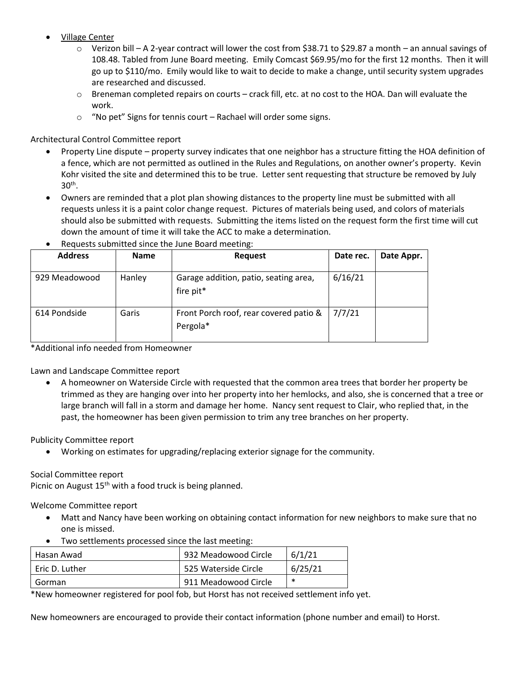- Village Center
	- o Verizon bill A 2-year contract will lower the cost from \$38.71 to \$29.87 a month an annual savings of 108.48. Tabled from June Board meeting. Emily Comcast \$69.95/mo for the first 12 months. Then it will go up to \$110/mo. Emily would like to wait to decide to make a change, until security system upgrades are researched and discussed.
	- o Breneman completed repairs on courts crack fill, etc. at no cost to the HOA. Dan will evaluate the work.
	- o "No pet" Signs for tennis court Rachael will order some signs.

Architectural Control Committee report

- Property Line dispute property survey indicates that one neighbor has a structure fitting the HOA definition of a fence, which are not permitted as outlined in the Rules and Regulations, on another owner's property. Kevin Kohr visited the site and determined this to be true. Letter sent requesting that structure be removed by July 30th .
- Owners are reminded that a plot plan showing distances to the property line must be submitted with all requests unless it is a paint color change request. Pictures of materials being used, and colors of materials should also be submitted with requests. Submitting the items listed on the request form the first time will cut down the amount of time it will take the ACC to make a determination.

| <b>Address</b> | <b>Name</b> | <b>Request</b>                                     | Date rec. | Date Appr. |
|----------------|-------------|----------------------------------------------------|-----------|------------|
| 929 Meadowood  | Hanley      | Garage addition, patio, seating area,<br>fire pit* | 6/16/21   |            |
| 614 Pondside   | Garis       | Front Porch roof, rear covered patio &<br>Pergola* | 7/7/21    |            |

• Requests submitted since the June Board meeting:

\*Additional info needed from Homeowner

Lawn and Landscape Committee report

• A homeowner on Waterside Circle with requested that the common area trees that border her property be trimmed as they are hanging over into her property into her hemlocks, and also, she is concerned that a tree or large branch will fall in a storm and damage her home. Nancy sent request to Clair, who replied that, in the past, the homeowner has been given permission to trim any tree branches on her property.

Publicity Committee report

• Working on estimates for upgrading/replacing exterior signage for the community.

Social Committee report

Picnic on August  $15<sup>th</sup>$  with a food truck is being planned.

Welcome Committee report

- Matt and Nancy have been working on obtaining contact information for new neighbors to make sure that no one is missed.
- Two settlements processed since the last meeting:

| Hasan Awad       | 932 Meadowood Circle | 6/1/21  |
|------------------|----------------------|---------|
| T Eric D. Luther | 525 Waterside Circle | 6/25/21 |
| Gorman           | 911 Meadowood Circle | *       |

\*New homeowner registered for pool fob, but Horst has not received settlement info yet.

New homeowners are encouraged to provide their contact information (phone number and email) to Horst.